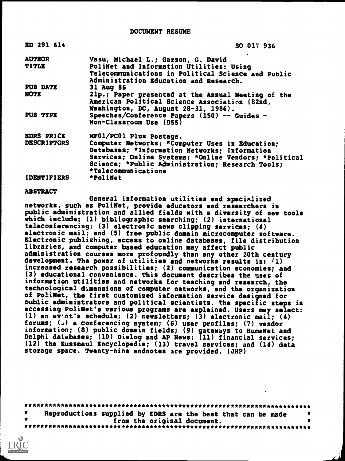DOCUMENT RESUME

| ED 291 614         | SO 017 936                                            |
|--------------------|-------------------------------------------------------|
| <b>AUTHOR</b>      | Vasu, Michael L.; Garson, G. David                    |
| <b>TITLE</b>       | PoliNet and Information Utilities: Using              |
|                    | Telecommunications in Political Science and Public    |
|                    | Administration Education and Research.                |
| <b>PUB DATE</b>    | 31 Aug 86                                             |
| <b>NOTE</b>        | 21p.; Paper presented at the Annual Meeting of the    |
|                    | American Political Science Association (82nd,         |
|                    | Washington, DC, August 28-31, 1986).                  |
| PUB TYPE           | Speeches/Conference Papers (150) -- Guides -          |
|                    | Non-Classroom Use (055)                               |
| <b>EDRS PRICE</b>  | MF01/PC01 Plus Postage.                               |
| <b>DESCRIPTORS</b> | Computer Networks; *Computer Uses in Education;       |
|                    | Databases; *Information Networks; Information         |
|                    | Services; Online Systems; *Online Vendors; *Political |
|                    | Science; *Public Administration; Research Tools;      |
|                    | *Telecommunications                                   |
| <b>IDENTIFIERS</b> | *PoliNet                                              |

#### ABSTRACT

General information utilities and specialized networks, such as PoliNet, provide educators and researchers in public administration and allied fields with a diversity of new tools which include: (1) bibliographic searching; (2) international teleconferencing; (3) electronic news clipping services; (4) electronic mail; and (5) free public domain microcomputer software. Electronic publishing, access to online databases, file distribution libraries, and computer based education may affect public administration courses more profoundly than any other 20th century development. The power of utilities and networks results in: (1) increased research possibilities; (2) communication economies; and (3) educational convenience. This document describes the uses of information utilities and networks for teaching and research, the technological dimensions of computer networks, and the organization of PoliNet, the first customized information service designed for Public administrators and political scientists. The specific steps in accessing PoliNet's various programs are explained. Users may select: (1) an  $e\bar{v}$  nt's schedule; (2) newsletters; (3) electronic mail; (4) forums; ( $\cup$ ) a conferencing system; (6) user profiles; (7) vendor information; (8) public domain fields; (9) gateways to HumaNet and Delphi databases; (10) Dialog and AP News; (11) financial services; (12) the Kussmaul Encyclopedia; (13) travel services; and (14) data storage space. Twenty-nine endnotes are provided. (JHP)

\*\*\*\*\*\*\*\*\*\*\*\*\*\*\*\*\*\*\*\*\*\*\*\*\*\*\*\*\*\*\*\*\*\*\*\*\*\*\*\*\*\*\*\*\*\*\*\*\*\*\*\*\*\*\*\*\*\*\*\*\*\*\*\*\*\*\*\*\*\*\* Reproductions supplied by EDRS are the best that can be made \*<br>\* \$ from the original document. \* from the original document. \* \*\*\*\*\*\*\*\*\*\*\*\*\*\*\*\*\*\*\*\*\*\*\*\*\*\*\*\*\*\*\*\*\*\*\*\*\*\*\*\*\*\*\*\*\*\*\*\*\*\*\*\*\*\*\*\*\*\*\*\*\*\*\*\*\*\*\*\*\*\*\*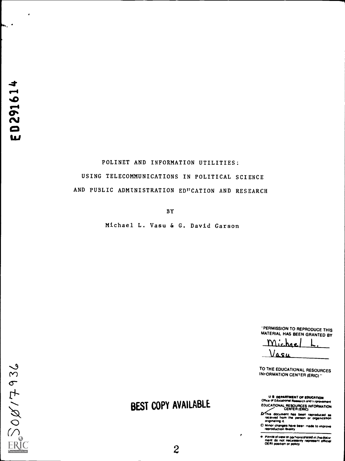h., .

# POLINET AND INFORMATION UTILITIES: USING TELECOMMUNICATIONS IN POLITICAL SCIENCE AND PUBLIC ADMINISTRATION EDUCATION AND RESEARCH

BY

Michael L. Vasu & G. David Garson

PERMISSION TO REPRODUCE THIS MATERIAL HAS BEEN GRANTED BY

Michae L. Vasu

TO THE EDUCATIONAL RESOURCES INFORMATION CENTER (ERIC) "

U **& DEPARTMENT OF EDUCATION**<br>Office of Educational Research and folyprovernent EDUCATIONAL RESOURCES INFORMATION CENTER (ERIC/

This document has been reproduced as<br>received from the person or organization<br>originating it

D. Minor changes have been made to improve reproduction Quality

Points of view or colnions stated in this docul<br>ment, do, not, necassarily, represent, cifficial<br>OERI position or policy

2861/805

# BEST COPY AVAILABLE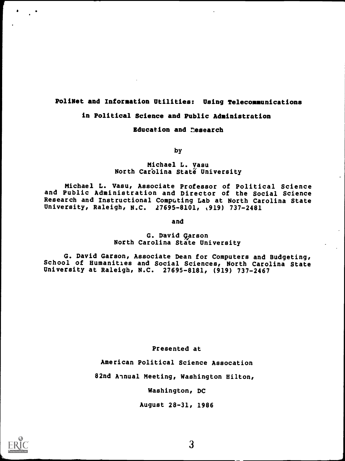# PoliNet and Information Utilities: Using Telecommunications

# in Political Science and Public Administration

# Education and research

by

# Michael L. Vasu North Carolina Staté University

Michael L. Vasu, Associate Professor of Political Science and Public Administration and Director of the Social Science Research and Instructional Computing Lab at North Carolina State University, Raleigh, N.C. 27695-8101, (919) 737-2481

and

### G. David Garson North Carolina State University

G. David Carson, Associate Dean for Computers and Budgeting, School of Humanities and Social Sciences, North Carolina State University at Raleigh, N.C. 27695-8181, (919) 737-2467

#### Presented at

American Political Science Assocation

82nd Annual Meeting, Washington Hilton,

Washington, DC

August 28-31, 1986

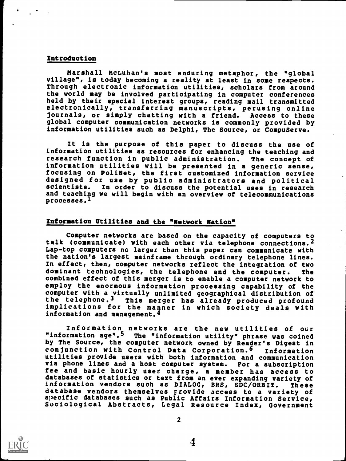#### Introduction

Marshall McLuhan's most enduring metaphor, the "global village", is today becoming a reality at least in some respects. Through electronic information utilities, scholars from around the world may be involved participating in computer conferences held by their special interest groups, reading mail transmitted electronically, transferring manuscripts, perusing online journals, or simply chatting with a friend. Access to these global computer communication networks is commonly provided by information utilities such as Delphi, The Source, or CompuServe.

It is the purpose of this paper to discuss the use of information utilities as resources for enhancing the teaching and research function in public administration. The concept of information utilities will be presented in a generic sense, focusing on PoliNet, the first customized information service designed for use by public administrators and political scientists. In order to discuss the potential uses in research and teaching we will begin with an overview of telecommunications processes.<sup>1</sup>

#### Information Utilities and the "Network Nation"

Computer networks are based on the capacity of computers to talk (communicate) with each other via telephone connections.2 Lap-top computers no larger than this paper can communicate with the nation's largest mainframe through ordinary telephone lines. In effect, then, computer networks reflect the integration of two dominant technologies, the telephone and the computer. The combined effect of this merger is to enable a computer network to employ the enormous information processing capability of the computer with a virtually unlimited geographical distribution of<br>the telephone.<sup>3</sup> This merger has already produced profound This merger has already produced profound implications for the manner in which society deals with information and management.<sup>4</sup>

Information networks are the new utilities of our "information age".5 The "information utility" phrase was coined by The Source, the computer network owned by Reader's Digest in conjunction with Control Data Corporation.6 Information utilities provide users with both information and communication via phone lines and a host computer system. For a subscription fee and basic hourly user charge, a member has access to databases of statistics or text from an ever expanding variety of information vendors such as DIALOG, BRS, SDC/ORBIT. These database vendors themselves provide access to a variety of specific databases such as Public Affairs Information Service, Sociological Abstracts, Legal Resource Index, Government



2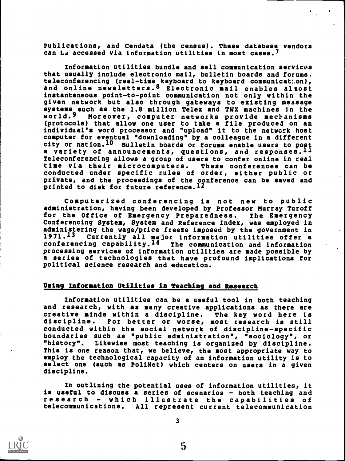Publications, and Cendata (the census). These database vendors can Le accessed via information utilities in most cases.<sup>7</sup>

Information utilities bundle and sell communication services that usually include electronic mail, bulletin boards and forums, teleconferencing (real-time keyboard to keyboard communication), and online newsletters.8 Electronic mail enables almost instantaneous point-to-point communication not only within the given network but also through gateways to existing message systems such as the 1.8 million Telex and TWX machines in the<br>world.<sup>9</sup> Moreover, computer networks provide mechanisms world.9 Moreover, computer networks provide mechanisms (protocols) that allow one user to take a file produced on an individual's word processor and "upload" it to the netwerk host computer for eventual "downloading" by a colleague in a different city or nation.<sup>10</sup> Bulletin boards or forums enable users to post a variety of announcements, questions, and responses.  $^{11}$   $\hfill$ Teleconferencing allows a group of users to confer online in real time via their microcomputers. These conferences can be conducted under specific rules of order, either public or private, and the proceedings of the conference can be saved and printed to disk for future reference.<sup>12</sup>

Computerized conferencing is not new to public administration, having been developed by Professor Murray Turoff for the Office of Emergency Preparedness. The Emergency Conferencing System, System and Reference Index, was employed in administering the wage/price freeze imposed by the government in  $1971.13$  Currently all major information utilities offer a 1971.<sup>13</sup> Currently all major information utilities offer a<br>conferencing capability.<sup>14</sup> The communication and information The communication and information processing services of information utilities are made possible by a series of technologies that have profound implications for political science research and education.

#### Using Information Utilities in Teaching and Research

Information utilities can be a useful tool in both teaching and research, with as many creative applications as there are creative minds within a discipline. The key word here is<br>discipline. For better or worse, most research is still For better or worse, most research is still conducted within the social network of discipline-specific boundaries such as "public administration", "sociology", or "history". Likewise most teaching is organized by discipline. This is one reason that, we believe, the most appropriate way to employ the technological capacity of an information utility is to select one (such as PoliNet) which centers on users in a given discipline.

In outlining the potential uses of information utilities, it is useful to discuss a series of scenarios - both teaching and research - which illustrate the capabilities of telecommunications. All represent current telecommunication



<u>Line and the second second</u>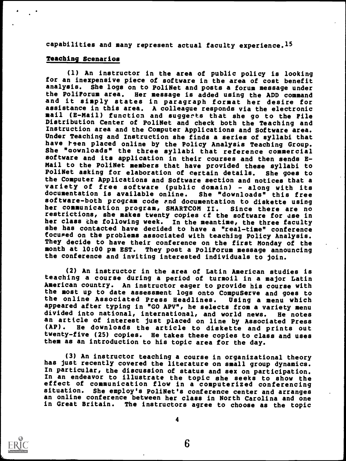capabilities and many represent actual faculty experience.15

# Teaching Scenarios

(1) An instructor in the area of public policy is looking for an inexpensive piece of software in the area of cost benefit analysis. She logs on to PoliNet and posts a forum message under the PoliForum area. Her message is added using the ADD command and it simply states in paragraph format her desire for assistance in this area. A colleague responds via the electronic mail (E-Mail) function and suggerts that she go to the File Distribution Center of PoliNet and check both the Teaching and Instruction area and the Computer Applications and Software area. Under Teaching and Instruction she finds a series of syllabi that have teen placed online by the Policy Analysis Teaching Group. She "aownloads" the three syllabi that reference commercial software and its application in their courses and then sends E-Mail to the PoliNet members that have provided these syllabi to PoliNet asking for elaboration of certain details. She goes to the Computer Applications and Software section and notices that a variety of free software (public domain) - along with its documentation is available online. She "downloads" this free documentation is available online. software-both program code end documentation to diskette using her communication program, SMARTCOM II. Since there are no restrictions, she makes twenty copies cf the software for use in her class the following week. In the meantime, the three faculty she has contacted have decided to have a "real-time" conference focured on the problems associated with teaching Policy Analysis. They decide to have their conference on the first Monday of the month at 10:00 pm EST. They post a PoliForum message announcing the conference and inviting interested individuals to join.

(2) An instructor in the area of Latin American studies is teaching a course during a period of turmoil in a major Latin American country. An instructor eager to provide his course with<br>the most up to date assessment logs onto CompuServe and goes to the online Associated Press Headlines. Using a menu which appeared after typing in "GO APV", he selects from a variety menu divided into national, international, and world news. He notes an article of interest just placed on line by Associated Press<br>(AP). He downloads the article to diskette and prints out He downloads the article to diskette and prints out twenty-five (25) copies. He takes these copies to class and uses them as an introduction to his topic area for the day.

(3) An instructor teaching a course in organizational theory has just recently covered the literature on small group dynamics. In particular, the discussion of status and sex on participation. In an endeavor to illustrate the topic she seeks to show the effect of communication flow in a computerized conferencing<br>situation. She employ's PoliNet's conference center and arranges She employ's PoliNet's conference center and arranges an online conference between her class in North Carolina and one in Great Britain. The instructors agree to choose as the topic



4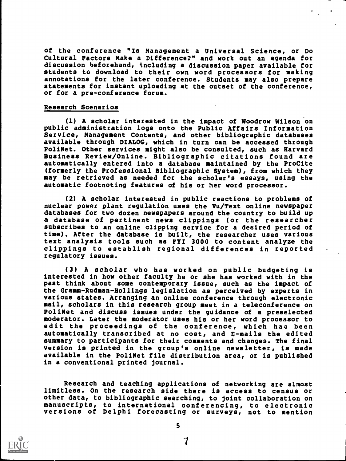of the conference "Is Management a Universal Science, or Do Cultural Factors Make a Difference?" and work out an agenda for discussion beforehand, tncluding a discussion paper available for students to download to their own word processors for making annotations for the later conference. Students may also prepare statements for instant uploading at the outset of the conference, or for a pre-conference forum.

#### Research Scenarios

(1) A scholar interested in the impact of Woodrow Wilson on public administration logs onto the Public Affairs Information Service, Management Contents, and other bibliographic databases available through DIALOG, which in turn can be accessed through PoliNet. Other services might also be consulted, such as Harvard Business Review/Online. Bibliographic citations found are automatically entered into a database maintained by the ProCite (formerly the Professional Bibliographic System), from which they may be retrieved as needed for the scholar's essays, using the automatic footnoting features of his or her word processor.

(2) A scholar interested in public reactions to problems of nuclear power plant regulation uses the Vu/Text online newspaper databases for two dozen newspapers around the country to build up a database of pertinent news clippings (or the researcher subscribes to an online clipping service for a desired period of time). After the database is built, the researcher uses various text analysis tools such as FYI 3000 to content analyze the clippings to establish regional differences in reported regulatory issues.

(3) A scholar who has worked on public budgeting is interested in how other faculty he or she has worked with in the past think about some contemporary issue, such as the impact of the Gramm-Rudman-Hollings legislation as perceived by experts in various states. Arranging an online conference through electronic mail, scholars in this research group meet in a teleconference on PoliNet and discuss issues under the guidance of a preselected moderator. Later the moderator uses his or her word processor to edit the proceedings of the conference, which has been automatically transcribed at no cost, and E-mails the edited summary to participants for their comments and changes. The final version is printed in the group's online newsletter, is made available in the PoliNet file distribution area, or is published in a conventional printed journal.

Research and teaching applications of networking are almost limitless. On the research side there is access to census or other data, to bibliographic searching, to joint collaboration on manuscripts, to international conferencing, to electronic versions of Delphi forecasting or surveys, not to mention

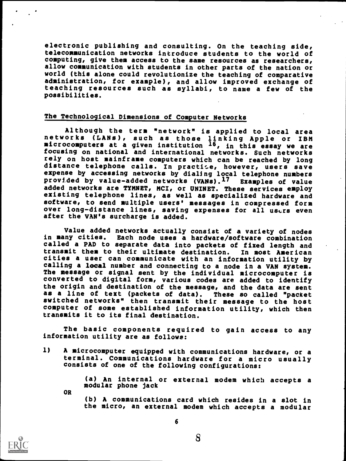electronic publishing and consulting. On the teaching side, telecommunication networks introduce students to the world of computing, give them access to the same resources as researchers, allow communication with students in other parts of the nation or world (this alone could revolutionize the teaching of comparative administration, for example), and allow improved exchange of teaching resources such as syllabi, to name a few of the possibilities.

# The Technological Dimensions of Computer Networks

Although the term "network" is applied to local area networks (LANs), such as those linking Apple or IBM microcomputers at a given institution  $^{16}$ , in this essay we are focusing on national and international networks. Such networks rely on host mainframe computers which can be reached by long distance telephone calls. In practite, however, users save expense by accessing networks by dialing local telephone numbers provided by value-added networks (VANs).17 Examples of value added networks are TYMNET, MCI, or UNINET. These services employ existing telephone lines, as well as specialized hardware and software, to send multiple users' messages in compressed form over long-distance lines, saving expenses for all users even after the VAN's surcharge is added.

Value added networks actually consist of a variety of nodes in many cities. Each node uses a hardware/software combination called a PAD to separate data into packets of fixed length and<br>transmit them to their ultimate destination. In most American transmit them to their ultimate destination. cities a user can communicate with an information utility by calling a local number and connecting to a node in a VAN system. The message or signal sent by the individual microcomputer is converted to digital form, various codes are added to identify the origin and destination of the message, and the data are sent as a line of text (packets of data). These so called "packet switched networks" then transmit their message to the host computer of some established information utility, which then transmits it to its final destination.

The basic components required to gain access to any information utility are as follows:

1) A microcomputer equipped with communications hardware, or a terminal. Communications hardware for a micro usually consists of one of the following configurations:

(a) An internal or external modem which accepts <sup>a</sup> modular phone jack

OR

(b) A communications card which resides in a slot in the micro, an external modem which accepts a modular

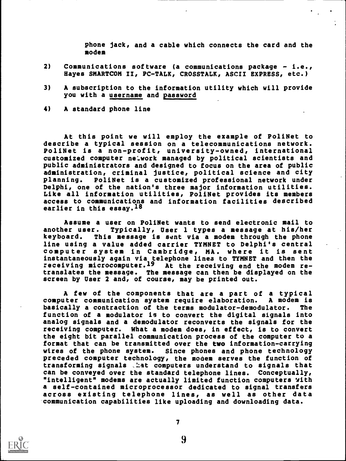phone jack, and a cable which connects the card and the modem

- 2) Communications software (a communications package i.e., Hayes SMARTCOM II, PC-TALK, CROSSTALK, ASCII EXPRESS, etc.)
- 3) A subscription to the information utility which will provide you with a username and password
- 4) A standard phone line

At this point we will employ the example of PoliNet to describe a typical session on a telecommunications network. PoliNet is a non-profit, university-owned, international customized computer network managed by political scientists and public administrators and designed to focus on the area of public administration, criminal justice, political science and city planning. PoliNet is a customized professional network under Delphi, one of the nation's three major information utilities. Like all information utilities, PoliNet provides its members access to communications and information facilities described earlier in this essay.<sup>18</sup>

Assume a user on PoliNet wants to send electronic mail to another user. Typically, User 1 types a message at his/her This message is sent via a modem through the phone line using a value added carrier TYMNET to Delphi's central computer system in Cambridge, MA. where it is sent instantaneously again via telephone linea to TYMNET and then the receiving microcomputer.<sup>19</sup> At the receiving end the modem retranslates the message. The message can then be displayed on the screen by User 2 and, of course, may be printed out.

A few of the components that are a part of a typical<br>iter communication system require elaboration. A modem is computer communication system require elaboration. basically a contraction of the terms modulator-demodulator. The function of a modulator is to convert the digital signals into analog signals and a demodulator reconverts the signals for the receiving computer. What a modem does, in effect, is to convert the eight bit parallel communication process of the computer to a format that can be transmitted over the two information-carrying wires of the phone system. Since phones and phone technology preceded computer technology, the modem serves the function of transforming signals .hat computers understand to signals that can be conveyed over the standard telephone lines. Conceptually, "intelligent" modems are actually limited function computers with a self-contained microprocessor dedicated to signal transfers across existing telephone lines, as well as other data -communication capabilities like uploading and downloading data.

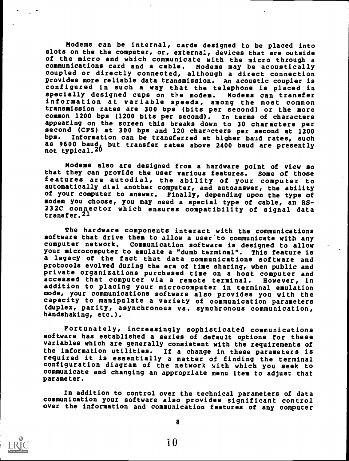Modems can be internal, cards designed to be placed into slots on the the computer, or, external, devices that are outside of the micro and which communicate with the micro through <sup>a</sup> communications card and a cable. Modems may be acoustically coupled or directly connected, although a direct connection provides more reliable data transmission. An acoustic coupler is configured in such a way that the telephone is placed in specially designed cups on the modem. Modems can transfer information at variable speeds, among the most common transmission rates are 300 bps (bits per second) or the more common 1200 bps (1200 bits per second). In terms of characters appearing on the screen this breaks down to 30 characters per second (CPS) at 300 bps and 120 characters per second at 1200<br>bps. Information can be transferred at higher band rates, such Information can be transferred at higher baud rates, such as 9600 baud, but transfer rates above 2400 baud are presently not typical.2u

Modems also are designed from a hardware point of view so that they can provide the user various features. features are autodial, the ability of your computer to automatically dial another computer, and autoanswer, the ability of your computer to answer. Finally, depending upon the type of modem you choose, you may need a special type of cable, an RS-232C connector which ensures compatibility of signal data transfer.21

The hardware components interact with the communications software that drive them to allow a user to communicate with any computer network. Communication software is designed to allow your microcomputer to emulate a "dumb terminal". This feature is a legacy of the fact that data communications software and protocols evolved during the era of time sharing, when public and private organizations purchased time on a host computer and accessed that computer via a remote terminal. However, in addition to placing your microcomputer in terminal emulation mode, your communications software also provides you with the capacity to manipulate a variety of communication parameters (duplex, parity, asynchronous vs. synchronous communication, handshaking, etc.).

Fortunately, increasingly sophisticated communications software has established a series of default options for these variables which are generally consistent with the requirements of the information utilities. If a change in these parameters is required it is essentially a matter of finding the terminal configuration diagram of the network with which you seek to communicate and changing an appropriate menu item to adjust that parameter.

In addition to control over the technical parameters of data communication your software also provides significant control over the information and communication features of any computer

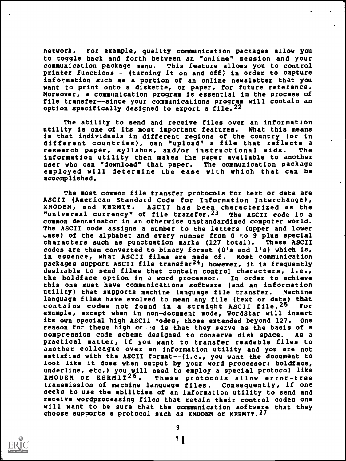network. For example, quality communication packages allow you to toggle back and forth between an "online" session and your communication package menu. This feature allows you to control printer functions - (turning it on and off) in order to capture information such as a portion of an online newsletter that you want to print onto a diskette, or paper, for future reference. Moreover, a communication program is essential in the process of file transfer--since your communications program will contain an option specifically designed to export a file.  $22$ 

The ability to send and receive files over an information utility is one of its most important features. What this means is that individuals in different regions of the country (or in different countries), can "upload" a file that reflects a research paper, syllabus, and/or instructional aids. The information utility then makes the paper available to another user who can "download" that paper. The communication package employed will determine the ease with which that can be accomplished.

The most common file transfer protocols for text or data are ASCII (American Standard Code for Information Interchange), ASCII has been characterized as the<br>file transfer.<sup>23</sup> The ASCII code is a "universal currency" of file transfer.  $23$ common denominator in an otherwise unstandardized computer world. The ASCII code assigns a number to the letters (upper and lower Lase) of the alphabet and every number from 0 to 9 plus special<br>characters such as punctuation marks (127 total). These ASCII characters such as punctuation marks  $(127 \text{ total}).$ codes are then converted to binary format (0's and l's) which is, in essence, what ASCII files are made of. Most communication packages support ASCII file transfer24; however, it is frequently desirable to send files that contain control characters, i.e., the boldface option in a word processor. In order to achieve this one must have communications software (and an information utility) that supports machine language file transfer. Machine language files have evolved to mean any file (text or data) that contains codes not found in a straight ASCII file.25 For example, except when in non-document mode, WordStar will insert its own special high ASCII rodes, those extended beyond 127. One reason for these high ce :s is that they serve as the basis of a compression code scheme designed to conserve disk space. As a practical matter, if you want to transfer readable files to another colleague over an information utility and you are not satisfied with the ASCII format--(i.e., you want the document to look like it does when output by your word processor: boldface, underline, etc.) you will need to employ a special protocol like<br>XMODEM or KERMIT<sup>26</sup>. These protocols allow error-free These protocols allow error-free transmission of machine language files. Consequently, if one seeks to use the abilities of an information utility to send and receive wordprocessing files that retain their control codes one will want to be sure that the communication software that they choose supports a protocol such as XMODEM or KERMIT.27

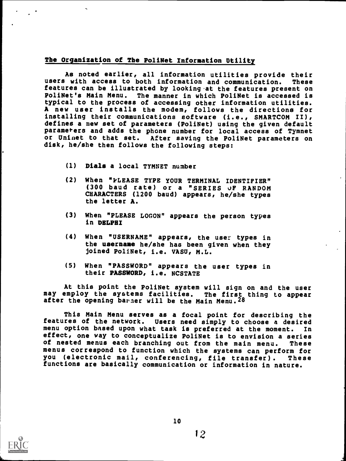# The Organization of The PoliNet Information Utility

As noted earlier, all information utilities provide their<br>With access to both information and communication. These users with access to both information and communication. features can be illustrated by looking at the features present on PoliNet's Main Menu. The manner in which poliNet is accessed is typical to the process of accessing other information utilities. A new user installs the modem, follows the directions for installing their communications software (i.e., SMARTCOM II), defines a new set of parameters (PoliNet) using the given default parameters and adds the phone number for local access of Tymnet or Uninet to that set. After saving the PoliNet parameters on disk, he/she then follows the following steps:

- (1) Dials a local TYMNET number
- (2) When "PLEASE TYPE YOUR TERMINAL IDENTIFIER" (300 baud rate) or a "SERIES of RANDOM CHARACTERS (1200 baud) appears, he/she types the letter A.
- (3) When "PLEASE LOGON" appears the person types in DELPHI
- (4) When "USERNAME" appears, the user types in the username he/she has been given when they joined PoliNet, i.e. VASU, M.L.
- (5) When "PASSWORD" appears the user types in their PASSWORD, i.e. NCSTATE

At this point the PoliNet system will sign on and the user may employ the systems facilities. The first thing to appear after the opening barner will be the Main Menu. 28

This Main Menu serves as a focal point for describing the features of the network. Users need simply to choose a desired menu option based upon what task is preferred at the moment. In effect, one way to conceptualize PoliNet is to envision a series of nested menus each branching out from the main menu. These menus correspond to function which the systems can perform for you (electronic mail, conferencing, file transfer). These functions are basically communication or information in nature.

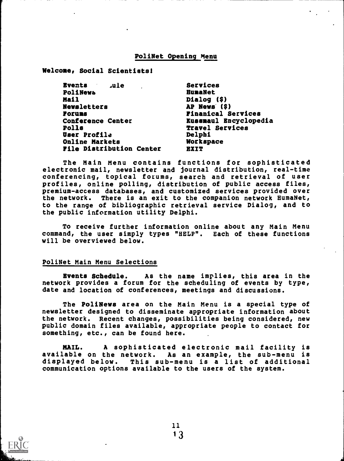#### PoliNet Opening Menu

Welcome, Social Scientists!

| <b>Events</b><br>ule. ا         | Services                  |  |
|---------------------------------|---------------------------|--|
| PoliNews                        | <b>HumaNet</b>            |  |
| Mail                            | Dialog (\$)               |  |
| <b>Newsletters</b>              | AP News (\$)              |  |
| Poruns                          | <b>Finanical Services</b> |  |
| <b>Conference Center</b>        | Kussmaul Encyclopedia     |  |
| <b>Polls</b>                    | <b>Travel Services</b>    |  |
| <b>User Profile</b>             | Delphi                    |  |
| <b>Online Markets</b>           | <b>Workspace</b>          |  |
| <b>File Distribution Center</b> | <b>EXIT</b>               |  |
|                                 |                           |  |

The Main Menu contains functions for sophisticated electronic mail, newsletter and journal distribution, real-time conferencing, topical forums, search and retrieval of user profiles, online polling, distribution of public access files, premium-access databases, and customized services provided over the network. There is an exit to the companion network HumaNet, to the range of bibliographic retrieval service Dialog, and to the public information utility Delphi.

To receive further information online about any Main Menu command, the user simply types "HELP". Each of these functions will be overviewed below.

#### PoliNet Main Menu Selections

Events Schedule. As the name implies, this area in the network provides a forum for the scheduling of events by type, date and location of conferences, meetings and discussions.

The PoliNews area on the Main Menu is a special type of newsletter designed to disseminate appropriate information about the network. Recent changes, possibilities being considered, new public domain files available, appropriate people to contact for something, etc., can be found here.

MAIL. A sophisticated electronic mail facility is available on the network. As an example, the sub-menu is displayed below. This sub-menu is a list of additional communication options available to the users of the system.

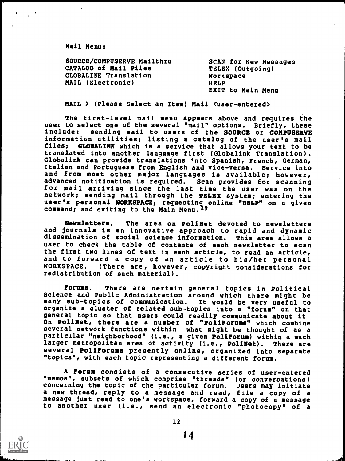Mail Menu:

| SOURCE/COMPUSERVE Mailthru   | <b>SCAN for New Messages</b> |
|------------------------------|------------------------------|
| CATALOG of Mail Files        | TELEX (Outgoing)             |
| <b>GLOBALINK Translation</b> | Workspace                    |
| MAIL (Electronic)            | HELP                         |
|                              | <b>EXIT to Main Menu</b>     |

MAIL > (Please Select an Item) Mail (user-entered>

The first-level mail menu appears above and requires the user to select one of the several "mail" options. Briefly, these<br>include: sending mail to users of the SOURCE or COMPUSERVE sending mail to users of the SOURCE or COMPUSERVE information utilities; listing a catalog of the user's mail GLOBALINK which is a service that allows your text to be translated into another language first (Globalink Translation). Globalink can provide translations into Spanish, French, German,<br>Italian and Portuguese from English and vice-versa. Service into Italian and Portuguese from English and vice-versa. and from most other major languages is available; however,<br>advanced notification is required. Scan provides for scanning advanced notification is required. for mail arriving since the last time the user was on the network; sending mail through the TELEX system; entering the user's personal WORKSPACE; requesting online "HELP" on a given command; and exiting to the Main Menu.'9

Newsletters. The area on PoliNet devoted to newsletters and journals is an innovative approach to rapid and dynamic dissemination of social science information. This area allows a user to check the table of contents of each newsletter to scan the first two lines of text in each article, to read an article, and to forward a copy of an article to his/her personal (There are, however, copyright considerations for redistribution of such material).

Forums. There are certain general topics in Political Science and Public Administration around which there might be many sub-topics of communication. It would be very useful to organize a cluster of related sub-topics into a "forum" on that general topic so that users could readily communicate about it On PoliNet, there are a number of "PoliForuss" which combine several network functions within what might be thought of as a particular "neighborhood" (i.e., a given PoliForum) within a much larger metropolitan area of activity (i.e., PoliNet). There are several PoliForums presently online, organized into separate "topics", with each topic representing a different forum.

A Forum consists of a consecutive series of user-entered "memos", subsets of which comprise "threads" (or conversations) concerning the topic of the particular forum. Users may initiate a new thread, reply to a message and read, file a copy of a message just read to one's workspace, forward a copy of a message to another user (i.e., send an electronic "photocopy" of a

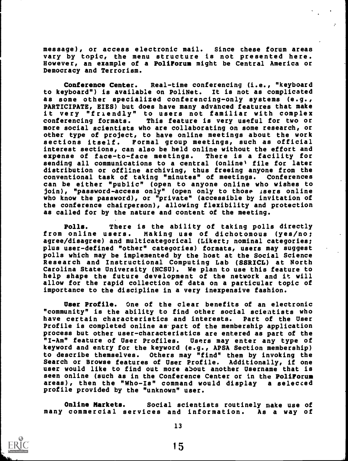message), or access electronic mail. Since these forum areas vary by topic, the menu structure is not presented here. However, an example of a PoliForum might be Central America or Democracy and Terrorism.

Conference Center. Real-time conferencing (i.e., "keyboard to keyboard") is available on PoliNet. It is not as complicated as some other specialized conferencing-only systems (e.g., PARTICIPATE, EIES) but does have many advanced features that make it very "friendly" to users not familiar with complex<br>conferencing formats. This feature is very useful for two or This feature is very useful for two or more social scientists who are collaborating on some research, or other type of project, to have online meetings about the work sections itself. Formal group meetings, such as official interest sections, can also be held online without the effort and<br>expense of face-to-face meetings. There is a facility for expense of face-to-face meetings. sending all communications to a central (online' file for later distribution or offline archiving, thus freeing anyone from the conventional task of taking "minutes" of meetings. Conferences can be either "public" (open to anyone online who wishes to  $join)$ , "password-access only" (open only to those isers online who know the password), or "private" (accessible by invitation of the conference chairperson), allowing flexibility and protection as called for by the nature and content of the meeting.

Polls. There is the ability of taking polls directly from online users. Making use of dichotomous (yes/no; agree/disagree) and multicategorical (Likert; nominal categories; plus user-defined "other" categories) formats, users may suggest polls which may be implemented by the host at the Social Science Research and Instructional Computing Lab (SSRICL) at North Carolina State University (NCSU). We plan to use this feature to help shape the future development of the network and it will allow for the rapid collection of data on a particular topic of importance to the discipline in a very inexpensive fashion.

User Profile. One of the clear benefits of an electronic "community" is the ability to find other social scientists who have certain characteristics and interests. Part of the User Profile is completed online as part of the membership application process but other user-characteristics are entered as part of the<br>"I-Am" feature of User Profiles. Users may enter any type of "I-Am" feature of User Profiles. keyword and entry for the keyword (e.g., APSA Section membership) to describe themselves. Others may "find" them by invoking the Search or Browse features of User Profile. Additionally, if one user would like to find out more about another Username that is seen online (such as in the Conference Center or in the PoliForum areas), then the "Who-Is" command would display a selected profile provided by the "unknown" user.

Online Markets. Social scientists routinely make use of many commercial services and information. As a way of

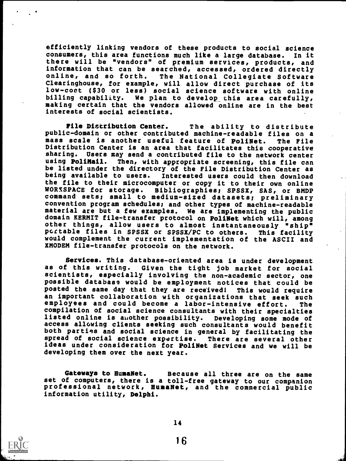efficiently linking vendors of these products to social science consumers, this area functions much like a large database. In it there will be "vendors" of premium services, products, and information that can be searched, accessed, ordered directly<br>online, and so forth. The National Collegiate Software The National Collegiate Software Clearinghouse, for example, will allow direct purchase of its low-cost (\$30 or less) social science software with online billing capability. We plan to develop\_ this area carefully, making certain that the vendors allowed online are in the best interests of social scientists.

File Distribution Center. The ability to distribute public-domain or other contributed machine-readable files on a<br>mass scale is another useful feature of PoliNet. The File mass scale is another useful feature of PoliNet. Distribution Center is an area that facilitates this cooperative sharing. Users may send a contributed file to the network center<br>using PoliMail. Then, with appropriate screening, this file can Then, with appropriate screening, this file can be listed under the directory of the File Distribution Center as<br>being available to users. Interested users could then download Interested users could then download the file to their microcomputer or copy it to their own online<br>WORXSPACE for storage. Bibliographies; SPSSX, SAS, or BMDP command sets; small to medium-sized datasets; preliminary convention program schedules; and other types of machine-readable material are but a few examples. We are implementing the public domain KERMIT file-transfer protocol on PoliNet which will, among other things, allow users to almost instantaneously "ship"<br>portable files in SPSSX or SPSSX/PC to others. This facility portable files in SPSSX or SPSSX/PC to others. would complement the current implementation of the ASCII and XMODEM file-transfer protocols on the network.

Services. This database-oriented area is under development as of this writing. Given the tight job market for social scientists, especially involving the non-academic sector, one possible database would be employment notices that could be posted the same day that they are received! This would require an important collaboration with organizations that seek such employees and could become a labor-intensive effort. The compilation of social science consultants with their specialties listed online is another possibility. Developing some mode of access allowing clients seeking such consultants would benefit both parties and social science in general by facilitating the spread of social science expertise. There are several other ideas under consideration for PoliNet Services and we will be developing them over the next year.

Gateways to HumaNet. Because all three are on the same<br>set of computers, there is a toll-free gateway to our companion professional network, HumaNet, and the commercial public information utility, Delphi.

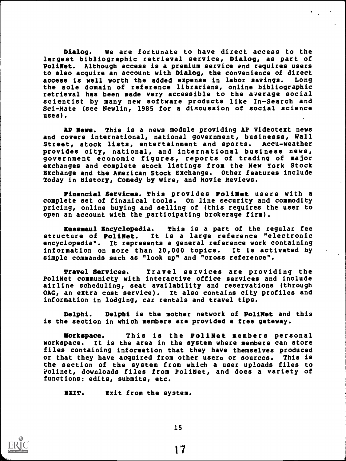Dialog. We are fortunate to have direct access to the largest bibliographic retrieval service, Dialog, as part of PoliNet. Although access is a premium service and requires users to also acquire an account with Dialog, the convenience of direct access is well worth the added expense in labor savings. Long the sole domain of reference librarians, online bibliographic retrieval has been made very accessible to the average social scientist by many new software products like In-Search and Sci-Mate (see Newlin, 1985 for a discussion of social science uses).

AP News. This is a news module providing AP Videotext news and covers international, national government, businesss, Wall<br>Street, stock lists, entertainment and sports. Accu-weather Street, stock lists, entertainment and sports. provides city, national, and international business news, government economic figures, reports of trading of major exchanges and complete stock listings from the New York Stock Exchange and the American Stock Exchange. Other features include Today in History, Comedy by Wire, and Movie Reviews.

Financial Services. This provides PoliNet users with a complete set of finanical tools. On line security and commodity pricing, online buying and selling of (this requires the user to open an account with the participating brokerage firm).

Kussnaul Encyclopedia. This is a part of the regular fee structure of PoliNet. It is a large reference "electronic encyclopedia". It represents a general reference work containing information on more than 20,000 topics. It is activated by simple commands such as "look up" and "cross reference".

Travel Services. Travel services are providing the PoliNet communicty with interactive office services and include airline scheduling, seat availability and reservations (through OAG, an extra cost service). It also contains city profiles and information in lodging, car rentals and travel tips.

Delphi. Delphi is the mother network of PoliNet and this is the section in which members are provided a free gateway.

Workspace. This is the PoliNet members personal workspace. It is the area in the system where members can store files containing information that they have themselves produced or that they have acquired from other users or sources. This is the section of the system from which a user uploads files to Polinet, downloads files from PoliNet, and does a variety of functions: edits, submits, etc.

EXIT. Exit from the system.



15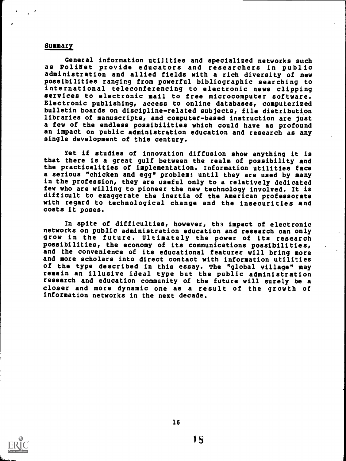#### **Summary**

General information utilities and specialized networks such as PoliNet provide educators and researchers in public administration and allied fields with a rich diversity of new possibilities ranging from powerful bibliographic searching to international teleconferencing to electronic news clipping services to electronic mail to free microcomputer software. Electronic publishing, access to online databases, computerized bulletin boards on discipline-related subjects, file distribution libraries of manuscripts, and computet-based instruction are just a few of the endless possibilities which could have as profound an impact on public administration education and research as any single development of this century.

Yet if studies of innovation diffusion show anything it is that there is a great gulf between the realm of possibility and the practicalities of implementation. Information utilities face a serious "chicken and egg" problem: until they are used by many in the profession, they are useful only to a relatively dedicated few who are willing to pioneer the new technology involved. It is difficult to exaggerate the inertia of the American professorate with regard to technological change and the insecurities and costs it poses.

In spite of difficulties, however, tha impact of electronic networks on public administration education and research can only grow in the future. Ultimately the power of its research possibilities, the economy of its communications possibilities, and the convenience of its educational featuree will bring more and more scholars into direct contact with information utilities of the type described in this essay. The "global village" may remain an illusive ideal type but the public administration research and education community of the future will surely be a closer and more dynamic one as a result of the growth of information networks in the next decade.

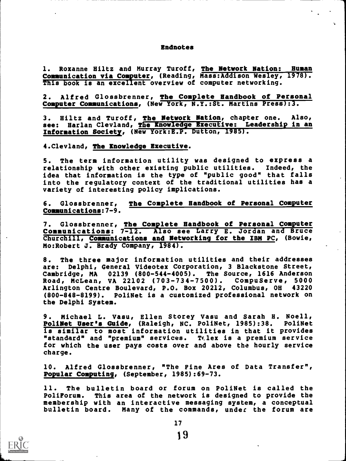#### Endnotes

1. Roxanne Hiltz and Murray Turoff, The Network Nation: Human Communication via Computer, (Reading, Mass:Addison Wesley, 1978). This book is an excellent overview of computer networking.

2. Alfred Glossbrenner, The Complete Handbook of Personal Computer Communications, (New York, N.Y.:St. Martins Press):3.

3. Blitz and Turoff, The Network Nation, chapter one. Also, see: Harlan Clevland, The Knowledge Executive: Leadership in an Information Society, (New York:E.P. Dutton, 1985).

4.Clevland, The Knowledge Executive.

5. The term information utility was designed to express a relationship with other existing public utilities. Indeed, the idea that information is the type of "public good" that falls into the regulatory context of the traditional utilities has a variety of interesting policy implications.

6. Glossbrenner, The Complete Handbook of Personal Computer Communications:7-9.

7. Glossbrenner, The Complete Handbook of Personal Computer Communications: 7-12. Also see Larry E. Jordan and Bruce Churchill, Communications and Networking for the IBM PC, (Bowie, Mo:Robert J. Brady Company, 1984).

8. The three major information utilities and their addresses are: Delphi, General Videotex Corporation, 3 Blackstone Street, Cambridge, MA 02139 (800-544-4005). The Source, 1616 Anderson Road, McLean, VA 22102 (703-734-7500). CompuServe, 5000 Arlington Centre Boulevard, P.O. Box 20212, Columbus, OH 43220 (800-848-8199). PoliNet is a customized professional network on the Delphi System.

9. Michael L. Vasu, Ellen Storey Vasu and Sarah H. Noell, PoliNet User's Guide, (Raleigh, NC. PoliNet, 1985):38. PoliNet is similar to most information utilities in that it provides "standard" and "premium" services. Telex is a premium service for which the user pays costs over and above the hourly service charge.

10. Alfred Glossbrenner, "The Fine Ares of Data Transfer", Popular Computing, (September, 1985):69-73.

11. The bulletin board or forum on PoliNet is called the PoliForum. This area of the network is designed to provide the membership with an interactive messaging system, a conceptual bulletin board. Many of the commands, under the forum are

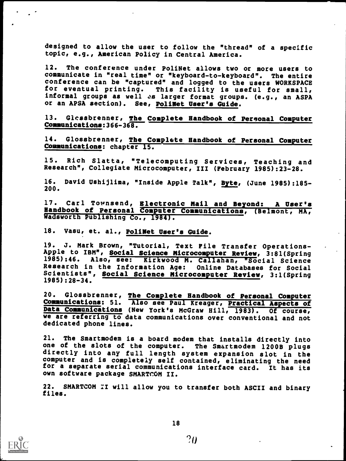designed to allow the user to follow the "thread" of a specific topic, e.g., American Policy in Central America.

12. The conference under PoliNet allows two or more users to communicate in "real time" or "keyboard-to-keyboard". The entire conference can be "captured" and logged to the users WORKSPACE for eventual printing. This facility is useful for small, informal groups as well as larger format groups. (e.g., an ASPA or an APSA section). See, PoliNet User's Guide.

13. Glassbrenner, The Complete Handbook of Personal Computer Communications:366-36B.

14. Glossbrenner, The Complete Handbook of Personal Computer Communications: chapter 15.

15. Rich Slatta, "Telecomputing Services, Teaching and Research", Collegiate Microcomputer, III (February 1985):23-28.

16. David Ushijlima, "Inside Apple Talk", Byte, (June 1985):185- 200.

17. Carl Townsend, Electronic Mail and Beyond: A User's Handbook of Personal Computer Communications, (Belmont, MA, Wadsworth Publishing Co., 1984).

18. Vasu, et. al., PoliNet User's Guide.

19. J. Mark Brown, "Tutorial, Text File Transfer Operations-Apple to IBM", Social Science Microcomputer Review, 3:81(Spring 1985):46. Also, see: Kirkwood M. Callahan, "Social Science Research in the Information Age: Online Databases for Social Scientists", Social Science Microcomputer Review, 3:1(Spring 1985):28-34.

20. Glossbrenner, The Complete Handbook of Personal Computer Communications: 51. Also see Paul Kreager, Practical Aspects of Data Communications (New York's McGraw Hill, 1983). Of course, we are referring to data communications over conventional and not dedicated phone lines.

21. The Smartmodem is a board modem that installs directly into one of the slots of the computer. The Smartmodem 1200B plugs directly into any full length system expansion slot in the computer and is completely self contained, eliminating the need for a separate serial communications interface card. It has its own software package SMARTCOM II.

22. SMARTCOM II will allow you to transfer both ASCII and binary files.